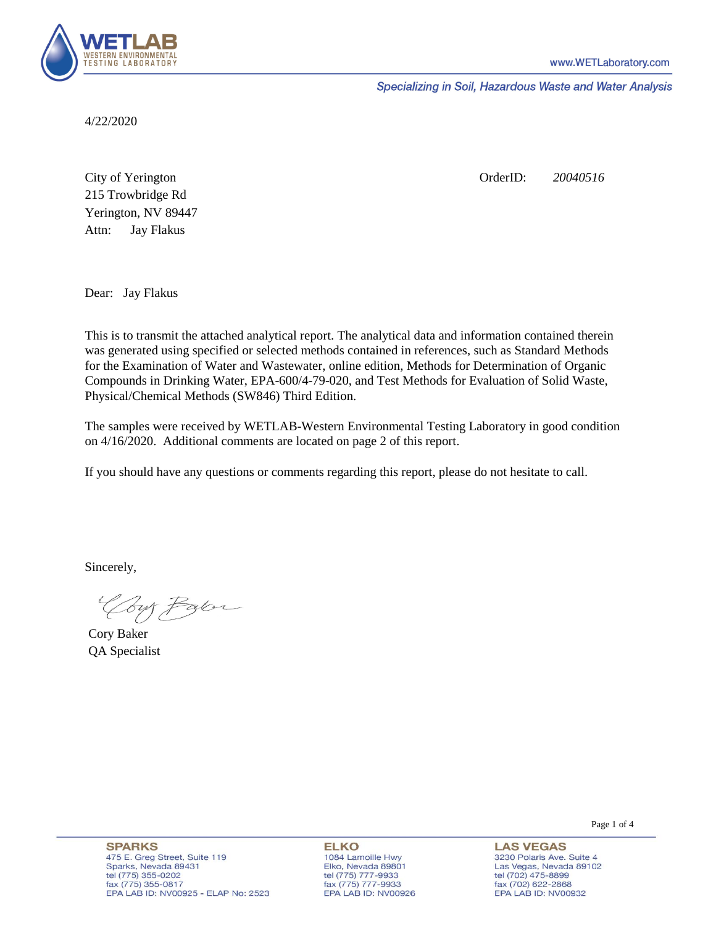

Specializing in Soil, Hazardous Waste and Water Analysis

4/22/2020

Attn: City of Yerington 215 Trowbridge Rd Jay Flakus Yerington, NV 89447 OrderID: *20040516*

Dear: Jay Flakus

This is to transmit the attached analytical report. The analytical data and information contained therein was generated using specified or selected methods contained in references, such as Standard Methods for the Examination of Water and Wastewater, online edition, Methods for Determination of Organic Compounds in Drinking Water, EPA-600/4-79-020, and Test Methods for Evaluation of Solid Waste, Physical/Chemical Methods (SW846) Third Edition.

The samples were received by WETLAB-Western Environmental Testing Laboratory in good condition on 4/16/2020. Additional comments are located on page 2 of this report.

If you should have any questions or comments regarding this report, please do not hesitate to call.

Sincerely,

Your Parce

Cory Baker QA Specialist

**SPARKS** 475 E. Greg Street, Suite 119 Sparks, Nevada 89431 tel (775) 355-0202 fax (775) 355-0817 EPA LAB ID: NV00925 - ELAP No: 2523

**ELKO** 1084 Lamoille Hwy Elko, Nevada 89801 tel (775) 777-9933<br>fax (775) 777-9933 EPA LAB ID: NV00926

**LAS VEGAS** 3230 Polaris Ave. Suite 4 Las Vegas, Nevada 89102 tel (702) 475-8899 fax (702) 622-2868 EPA LAB ID: NV00932

Page 1 of 4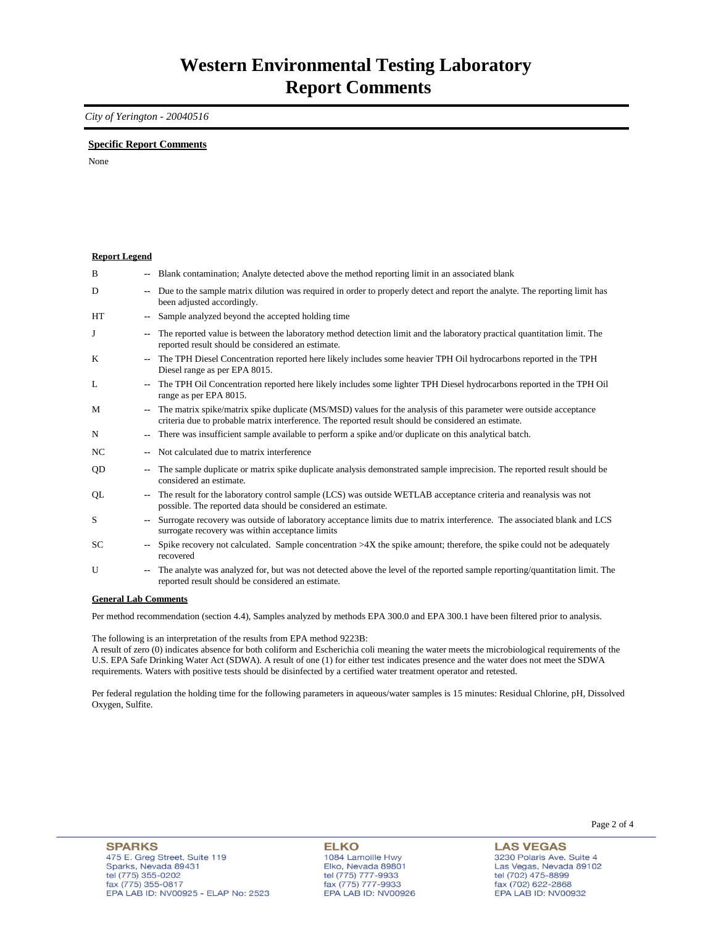### *City of Yerington - 20040516*

### **Specific Report Comments**

None

| <b>Report Legend</b> |                          |                                                                                                                                                                                                                           |
|----------------------|--------------------------|---------------------------------------------------------------------------------------------------------------------------------------------------------------------------------------------------------------------------|
| B                    |                          | Blank contamination; Analyte detected above the method reporting limit in an associated blank                                                                                                                             |
| D                    |                          | Due to the sample matrix dilution was required in order to properly detect and report the analyte. The reporting limit has<br>been adjusted accordingly.                                                                  |
| HT                   | $\overline{\phantom{a}}$ | Sample analyzed beyond the accepted holding time                                                                                                                                                                          |
| J                    | $\overline{\phantom{a}}$ | The reported value is between the laboratory method detection limit and the laboratory practical quantitation limit. The<br>reported result should be considered an estimate.                                             |
| K                    |                          | The TPH Diesel Concentration reported here likely includes some heavier TPH Oil hydrocarbons reported in the TPH<br>Diesel range as per EPA 8015.                                                                         |
| L                    |                          | The TPH Oil Concentration reported here likely includes some lighter TPH Diesel hydrocarbons reported in the TPH Oil<br>range as per EPA 8015.                                                                            |
| M                    | $\mathbf{u}$             | The matrix spike/matrix spike duplicate (MS/MSD) values for the analysis of this parameter were outside acceptance<br>criteria due to probable matrix interference. The reported result should be considered an estimate. |
| N                    |                          | There was insufficient sample available to perform a spike and/or duplicate on this analytical batch.                                                                                                                     |
| NC.                  |                          | Not calculated due to matrix interference                                                                                                                                                                                 |
| QD                   |                          | The sample duplicate or matrix spike duplicate analysis demonstrated sample imprecision. The reported result should be<br>considered an estimate.                                                                         |
| QL                   |                          | The result for the laboratory control sample (LCS) was outside WETLAB acceptance criteria and reanalysis was not<br>possible. The reported data should be considered an estimate.                                         |
| S                    |                          | Surrogate recovery was outside of laboratory acceptance limits due to matrix interference. The associated blank and LCS<br>surrogate recovery was within acceptance limits                                                |
| SC                   |                          | Spike recovery not calculated. Sample concentration $>4X$ the spike amount; therefore, the spike could not be adequately<br>recovered                                                                                     |
| U                    | $\overline{\phantom{a}}$ | The analyte was analyzed for, but was not detected above the level of the reported sample reporting/quantitation limit. The<br>reported result should be considered an estimate.                                          |
| Conoral Lah Commonts |                          |                                                                                                                                                                                                                           |

#### **General Lab Comments**

Per method recommendation (section 4.4), Samples analyzed by methods EPA 300.0 and EPA 300.1 have been filtered prior to analysis.

The following is an interpretation of the results from EPA method 9223B:

A result of zero (0) indicates absence for both coliform and Escherichia coli meaning the water meets the microbiological requirements of the U.S. EPA Safe Drinking Water Act (SDWA). A result of one (1) for either test indicates presence and the water does not meet the SDWA requirements. Waters with positive tests should be disinfected by a certified water treatment operator and retested.

Per federal regulation the holding time for the following parameters in aqueous/water samples is 15 minutes: Residual Chlorine, pH, Dissolved Oxygen, Sulfite.

**LAS VEGAS** 3230 Polaris Ave. Suite 4 Las Vegas, Nevada 89102 tel (702) 475-8899 fax (702) 47 3-8899<br>fax (702) 622-2868<br>EPA LAB ID: NV00932

Page 2 of 4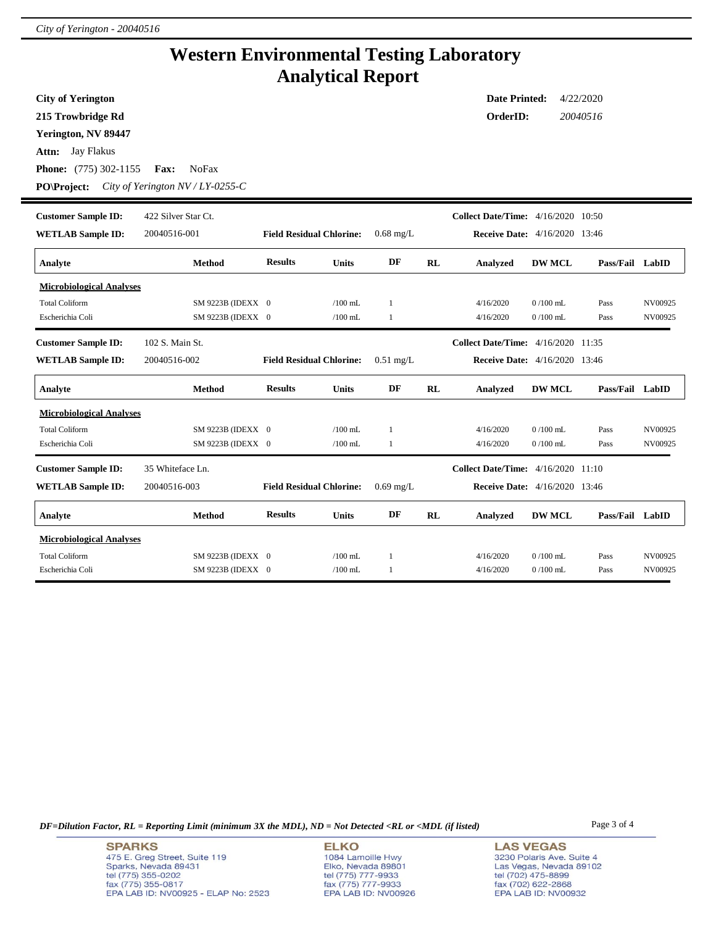i,

## **Western Environmental Testing Laboratory Analytical Report**

| <b>City of Yerington</b><br>215 Trowbridge Rd<br>Yerington, NV 89447<br>Attn: Jay Flakus<br><b>Phone:</b> (775) 302-1155<br>PO\Project: | Fax:<br><b>NoFax</b><br>City of Yerington $N V/LY$ -0255-C |                                 |                        |                              |    | <b>Date Printed:</b><br>OrderID:          |                          | 4/22/2020<br>20040516 |                    |
|-----------------------------------------------------------------------------------------------------------------------------------------|------------------------------------------------------------|---------------------------------|------------------------|------------------------------|----|-------------------------------------------|--------------------------|-----------------------|--------------------|
| <b>Customer Sample ID:</b>                                                                                                              | 422 Silver Star Ct.                                        |                                 |                        |                              |    | <b>Collect Date/Time:</b> 4/16/2020 10:50 |                          |                       |                    |
| <b>WETLAB Sample ID:</b>                                                                                                                | 20040516-001                                               | <b>Field Residual Chlorine:</b> |                        | $0.68$ mg/L                  |    | <b>Receive Date:</b> 4/16/2020 13:46      |                          |                       |                    |
| Analyte                                                                                                                                 | <b>Method</b>                                              | <b>Results</b>                  | <b>Units</b>           | DF                           | RL | Analyzed                                  | <b>DW MCL</b>            | Pass/Fail LabID       |                    |
| <b>Microbiological Analyses</b><br><b>Total Coliform</b><br>Escherichia Coli                                                            | SM 9223B (IDEXX 0<br>SM 9223B (IDEXX 0                     |                                 | $/100$ mL<br>$/100$ mL | $\mathbf{1}$<br>$\mathbf{1}$ |    | 4/16/2020<br>4/16/2020                    | $0/100$ mL<br>$0/100$ mL | Pass<br>Pass          | NV00925<br>NV00925 |
| <b>Customer Sample ID:</b>                                                                                                              | 102 S. Main St.                                            |                                 |                        |                              |    | <b>Collect Date/Time:</b> 4/16/2020 11:35 |                          |                       |                    |
| <b>WETLAB Sample ID:</b>                                                                                                                | 20040516-002                                               | <b>Field Residual Chlorine:</b> |                        | $0.51$ mg/L                  |    | <b>Receive Date:</b> 4/16/2020 13:46      |                          |                       |                    |
| Analyte                                                                                                                                 | <b>Method</b>                                              | <b>Results</b>                  | <b>Units</b>           | DF                           | RL | Analyzed                                  | <b>DW MCL</b>            | Pass/Fail LabID       |                    |
| <b>Microbiological Analyses</b>                                                                                                         |                                                            |                                 |                        |                              |    |                                           |                          |                       |                    |
| <b>Total Coliform</b>                                                                                                                   | SM 9223B (IDEXX 0                                          |                                 | $/100$ mL              | $\mathbf{1}$                 |    | 4/16/2020                                 | $0/100$ mL               | Pass                  | NV00925            |
| Escherichia Coli                                                                                                                        | SM 9223B (IDEXX 0                                          |                                 | $/100$ mL              | $\mathbf{1}$                 |    | 4/16/2020                                 | $0/100$ mL               | Pass                  | NV00925            |
| <b>Customer Sample ID:</b>                                                                                                              | 35 Whiteface Ln.                                           |                                 |                        |                              |    | <b>Collect Date/Time:</b> 4/16/2020 11:10 |                          |                       |                    |
| <b>WETLAB Sample ID:</b>                                                                                                                | 20040516-003                                               | <b>Field Residual Chlorine:</b> |                        | $0.69$ mg/L                  |    | <b>Receive Date:</b> 4/16/2020 13:46      |                          |                       |                    |
| Analyte                                                                                                                                 | Method                                                     | <b>Results</b>                  | <b>Units</b>           | DF                           | RL | Analyzed                                  | <b>DW MCL</b>            | Pass/Fail LabID       |                    |
| <b>Microbiological Analyses</b>                                                                                                         |                                                            |                                 |                        |                              |    |                                           |                          |                       |                    |
| <b>Total Coliform</b>                                                                                                                   | SM 9223B (IDEXX 0                                          |                                 | $/100$ mL              | 1                            |    | 4/16/2020                                 | $0/100$ mL               | Pass                  | NV00925            |
| Escherichia Coli                                                                                                                        | SM 9223B (IDEXX 0                                          |                                 | $/100$ mL              | $\mathbf{1}$                 |    | 4/16/2020                                 | $0/100$ mL               | Pass                  | NV00925            |

*DF=Dilution Factor, RL = Reporting Limit (minimum 3X the MDL), ND = Not Detected <RL or <MDL (if listed)* Page 3 of 4

**SPARKS** 475 E. Greg Street, Suite 119 Sparks, Nevada 89431<br>tel (775) 355-0202<br>fax (775) 355-0817 EPA LAB ID: NV00925 - ELAP No: 2523

**ELKO** 1084 Lamoille Hwy 1064 Lambile Hwy<br>Elko, Nevada 89801<br>tel (775) 777-9933<br>fax (775) 777-9933<br>EPA LAB ID: NV00926

**LAS VEGAS** 3230 Polaris Ave. Suite 4 Las Vegas, Nevada 89102<br>tel (702) 475-8899<br>fax (702) 622-2868<br>EPA LAB ID: NV00932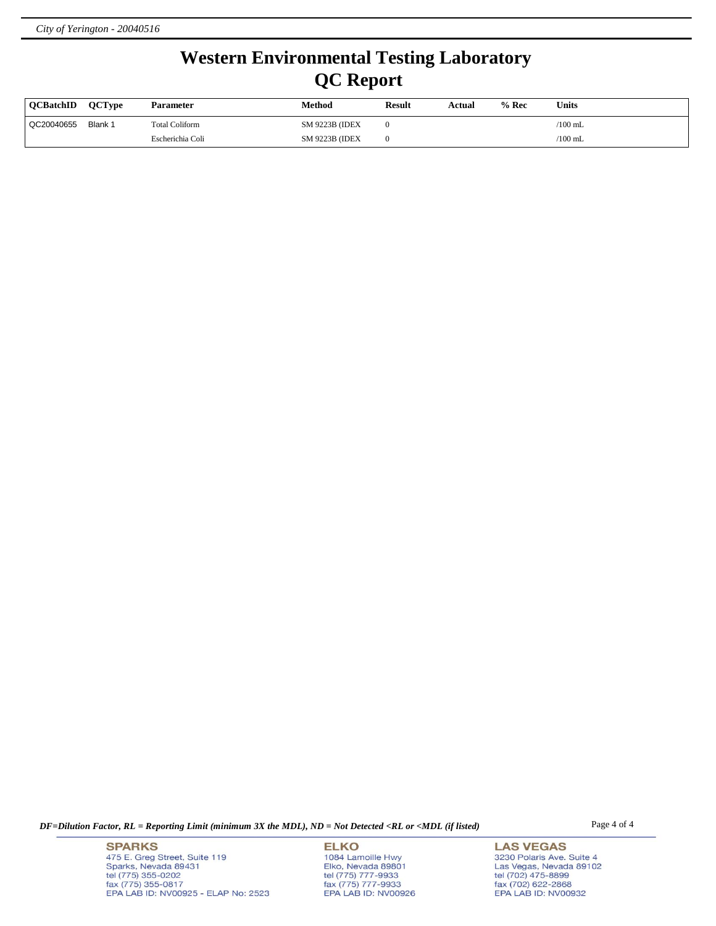# **Western Environmental Testing Laboratory QC Report**

| <b>OCBatchID</b> | <b>OCTvpe</b> | <b>Parameter</b>      | Method                 | <b>Result</b> | Actual | $%$ Rec | Units           |
|------------------|---------------|-----------------------|------------------------|---------------|--------|---------|-----------------|
| QC20040655       | Blank 1       | <b>Total Coliform</b> | <b>SM 9223B (IDEX)</b> |               |        |         | /100 mL         |
|                  |               | Escherichia Coli      | <b>SM 9223B (IDEX)</b> |               |        |         | $\sqrt{100}$ mL |

*DF=Dilution Factor, RL = Reporting Limit (minimum 3X the MDL), ND = Not Detected <RL or <MDL (if listed)* Page 4 of 4

**SPARKS** 475 E. Greg Street, Suite 119 Sparks, Nevada 89431<br>tel (775) 355-0202<br>fax (775) 355-0817 EPA LAB ID: NV00925 - ELAP No: 2523

**ELKO** 1084 Lamoille Hwy Polyton, Nevada 89801<br>tel (775) 777-9933<br>fax (775) 777-9933<br>EPA LAB ID: NV00926

**LAS VEGAS** 3230 Polaris Ave. Suite 4 Las Vegas, Nevada 89102<br>tel (702) 475-8899<br>fax (702) 622-2868<br>EPA LAB ID: NV00932